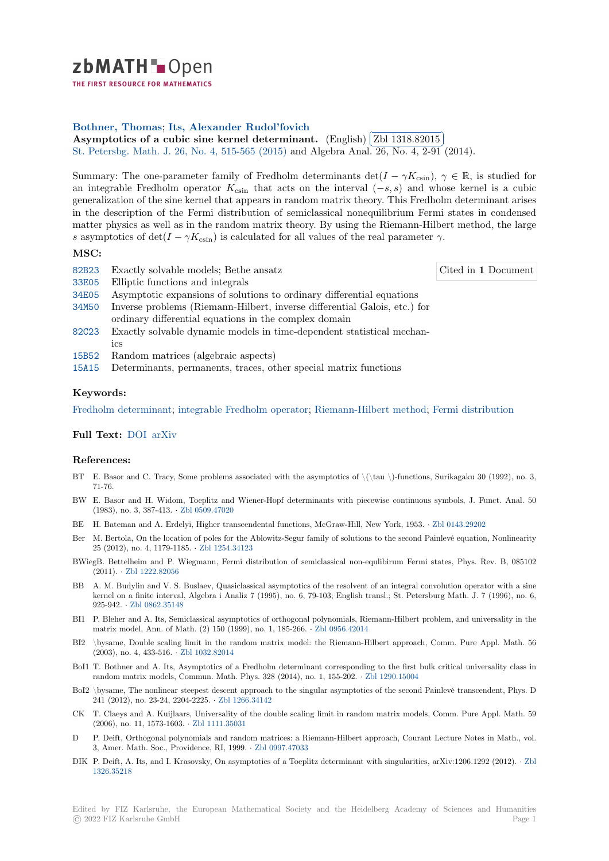# zbMATH-Open

THE FIRST RESOURCE FOR MATHEMATICS

## **Bothner, Thomas**; **Its, Alexander Rudol'fovich**

**[A](https://zbmath.org/)symptotics of a cubic sine kernel determinant.** (English) **Zbl 1318.82015** St. Petersbg. Math. J. 26, No. 4, 515-565 (2015) and Algebra Anal. 26, No. 4, 2-91 (2014). ĺ.

[Summary: The one-p](https://zbmath.org/authors/?q=ai:bothner.thomas)[arameter family of Fredholm de](https://zbmath.org/authors/?q=ai:its.alexander-rudolfovich)terminants  $\det(I - \gamma K_{\text{csin}})$ ,  $\gamma \in \mathbb{R}$ , is studied for [an integrable Fredholm operator](https://zbmath.org/1318.82015) *K*csin that acts on the interval (*−s, s*) [and whos](https://zbmath.org/1318.82015)e kernel is a cubic [generalization of the si](https://zbmath.org/journals/?q=se:1977)[ne kernel that appears in r](https://zbmath.org/?q=in:344972)andom matrix theory. This Fredholm determinant arises in the description of the Fermi distribution of semiclassical nonequilibrium Fermi states in condensed matter physics as well as in the random matrix theory. By using the Riemann-Hilbert method, the large *s* asymptotics of  $\det(I - \gamma K_{\text{csin}})$  is calculated for all values of the real parameter  $\gamma$ .

## **MSC:**

| 82B23 | Exactly solvable models; Bethe ansatz                                                                                              | Cited in 1 Document |
|-------|------------------------------------------------------------------------------------------------------------------------------------|---------------------|
| 33E05 | Elliptic functions and integrals                                                                                                   |                     |
| 34E05 | Asymptotic expansions of solutions to ordinary differential equations                                                              |                     |
| 34M50 | Inverse problems (Riemann-Hilbert, inverse differential Galois, etc.) for<br>ordinary differential equations in the complex domain |                     |
| 82C23 | Exactly solvable dynamic models in time-dependent statistical mechan-<br>ics                                                       |                     |
|       | 15B52 Random matrices (algebraic aspects)                                                                                          |                     |
|       | 15A15 Determinants, permanents, traces, other special matrix functions                                                             |                     |
|       |                                                                                                                                    |                     |

## **[Keyw](https://zbmath.org/classification/?q=cc:82C23)ords:**

[Fredho](https://zbmath.org/classification/?q=cc:15B52)lm determinant; integrable Fredholm operator; Riemann-Hilbert method; Fermi distribution

### **Full Text:** DOI arXiv

#### **[References:](https://zbmath.org/?q=ut:Fredholm+determinant)**

- BT E. Basor [and C](https://dx.doi.org/10.1090/spmj/1350). [Tracy,](https://arxiv.org/abs/1303.1871) Some problems associated with the asymptotics of  $\langle \hat{\}$  = functions, Surikagaku 30 (1992), no. 3, 71-76.
- BW E. Basor and H. Widom, Toeplitz and Wiener-Hopf determinants with piecewise continuous symbols, J. Funct. Anal. 50 (1983), no. 3, 387-413. *·* Zbl 0509.47020
- BE H. Bateman and A. Erdelyi, Higher transcendental functions, McGraw-Hill, New York, 1953. *·* Zbl 0143.29202
- Ber M. Bertola, On the location of poles for the Ablowitz-Segur family of solutions to the second Painlevé equation, Nonlinearity 25 (2012), no. 4, 1179-1185. *·* Zbl 1254.34123
- BWiegB. Bettelheim and P. [Wiegmann, Ferm](https://zbmath.org/0509.47020)i distribution of semiclassical non-equlibirum Fermi states, Phys. Rev. B, 085102 (2011). *·* Zbl 1222.82056
- BB A. M. Budylin and V. S. Buslaev, Quasiclassical asymptotics of the resolvent of an integral convolution operator with a sine kernel on a finite interval, Al[gebra i Analiz 7](https://zbmath.org/1254.34123) (1995), no. 6, 79-103; English transl.; St. Petersburg Math. J. 7 (1996), no. 6, 925-942. *·* Zbl 0862.35148
- BI1 P. Bleher [and A. Its, Sem](https://zbmath.org/1222.82056)iclassical asymptotics of orthogonal polynomials, Riemann-Hilbert problem, and universality in the matrix model, Ann. of Math. (2) 150 (1999), no. 1, 185-266. *·* Zbl 0956.42014
- BI2 \bysame, Double scaling limit in the random matrix model: the Riemann-Hilbert approach, Comm. Pure Appl. Math. 56 (2003), no[. 4, 433-516.](https://zbmath.org/0862.35148) *·* Zbl 1032.82014
- BoI1 T. Bothner and A. Its, Asymptotics of a Fredholm determinant corresponding to the first bulk critical universality class in random matrix models, Commun. Math. Phys. 328 (2014), no[. 1, 155-202.](https://zbmath.org/0956.42014) *·* Zbl 1290.15004
- BoI2 \bysame, The nonlinear steepest descent approach to the singular asymptotics of the second Painlevé transcendent, Phys. D 241 (2012), no. 23-24, 2[204-2225.](https://zbmath.org/1032.82014) *·* Zbl 1266.34142
- CK T. Claeys and A. Kuijlaars, Universality of the double scaling limit in random matrix models, Comm. Pure Appl. Math. 59 (2006), no. 11, 1573-1603. *·* Zbl 1111.35031
- D P. Deift, Orthogonal polynomials and random matrices: a Riemann-Hilbert approach, Courant Lecture Notes in Math., vol. 3, Amer. Math. Soc., Providence, [RI, 1999.](https://zbmath.org/1266.34142) *·* Zbl 0997.47033
- DIK P. Deift, A. Its, and I. Krasovsky, On asymptotics of a Toeplitz determinant with singularities, arXiv:1206.1292 (2012). *·* Zbl 1326.35218

Edited by FIZ Karlsruhe, the European Mathematical Society and the Heidelberg Academy of Sciences and Humani[ties](https://zbmath.org/1326.35218) © 20[22 FIZ Kar](https://zbmath.org/1326.35218)lsruhe GmbH Page 1